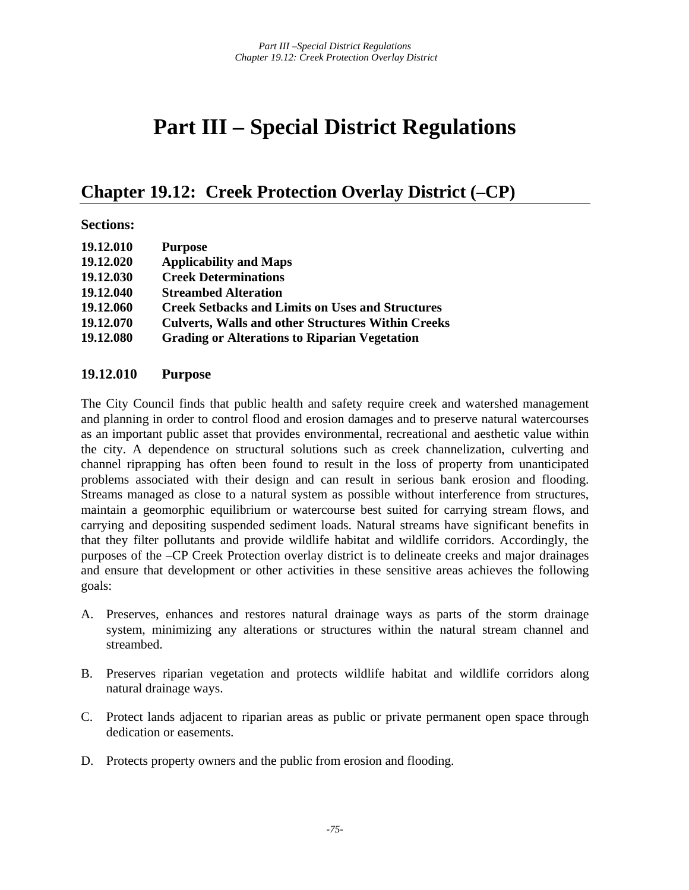# **Part III – Special District Regulations**

# **Chapter 19.12: Creek Protection Overlay District (–CP)**

#### **Sections:**

| 19.12.010 | <b>Purpose</b>                                            |
|-----------|-----------------------------------------------------------|
| 19.12.020 | <b>Applicability and Maps</b>                             |
| 19.12.030 | <b>Creek Determinations</b>                               |
| 19.12.040 | <b>Streambed Alteration</b>                               |
| 19.12.060 | <b>Creek Setbacks and Limits on Uses and Structures</b>   |
| 19.12.070 | <b>Culverts, Walls and other Structures Within Creeks</b> |
| 19.12.080 | <b>Grading or Alterations to Riparian Vegetation</b>      |

#### **19.12.010 Purpose**

The City Council finds that public health and safety require creek and watershed management and planning in order to control flood and erosion damages and to preserve natural watercourses as an important public asset that provides environmental, recreational and aesthetic value within the city. A dependence on structural solutions such as creek channelization, culverting and channel riprapping has often been found to result in the loss of property from unanticipated problems associated with their design and can result in serious bank erosion and flooding. Streams managed as close to a natural system as possible without interference from structures, maintain a geomorphic equilibrium or watercourse best suited for carrying stream flows, and carrying and depositing suspended sediment loads. Natural streams have significant benefits in that they filter pollutants and provide wildlife habitat and wildlife corridors. Accordingly, the purposes of the –CP Creek Protection overlay district is to delineate creeks and major drainages and ensure that development or other activities in these sensitive areas achieves the following goals:

- A. Preserves, enhances and restores natural drainage ways as parts of the storm drainage system, minimizing any alterations or structures within the natural stream channel and streambed.
- B. Preserves riparian vegetation and protects wildlife habitat and wildlife corridors along natural drainage ways.
- C. Protect lands adjacent to riparian areas as public or private permanent open space through dedication or easements.
- D. Protects property owners and the public from erosion and flooding.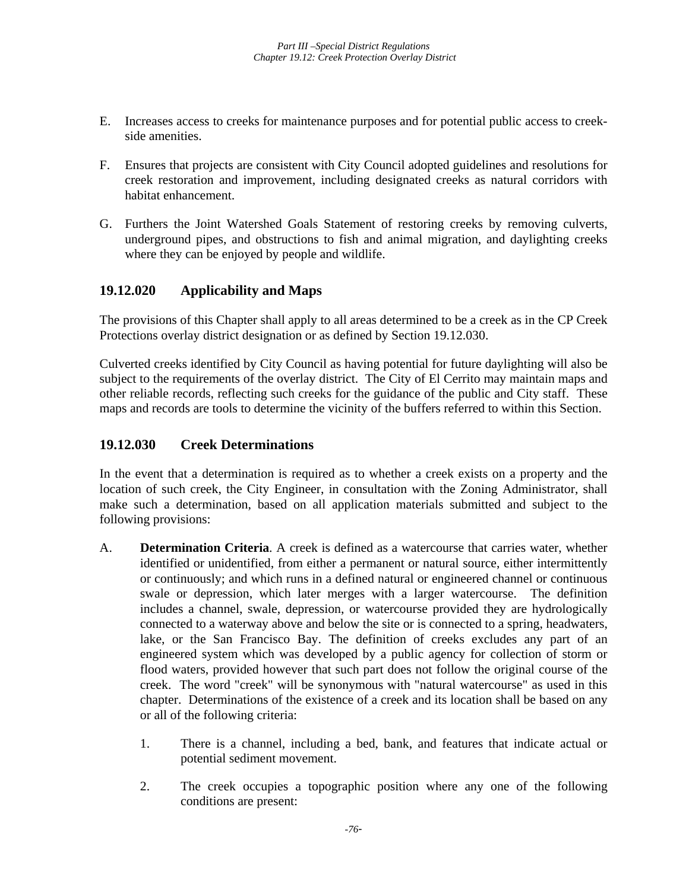- E. Increases access to creeks for maintenance purposes and for potential public access to creekside amenities.
- F. Ensures that projects are consistent with City Council adopted guidelines and resolutions for creek restoration and improvement, including designated creeks as natural corridors with habitat enhancement.
- G. Furthers the Joint Watershed Goals Statement of restoring creeks by removing culverts, underground pipes, and obstructions to fish and animal migration, and daylighting creeks where they can be enjoyed by people and wildlife.

# **19.12.020 Applicability and Maps**

The provisions of this Chapter shall apply to all areas determined to be a creek as in the CP Creek Protections overlay district designation or as defined by Section 19.12.030.

Culverted creeks identified by City Council as having potential for future daylighting will also be subject to the requirements of the overlay district. The City of El Cerrito may maintain maps and other reliable records, reflecting such creeks for the guidance of the public and City staff. These maps and records are tools to determine the vicinity of the buffers referred to within this Section.

### **19.12.030 Creek Determinations**

In the event that a determination is required as to whether a creek exists on a property and the location of such creek, the City Engineer, in consultation with the Zoning Administrator, shall make such a determination, based on all application materials submitted and subject to the following provisions:

- A. **Determination Criteria**. A creek is defined as a watercourse that carries water, whether identified or unidentified, from either a permanent or natural source, either intermittently or continuously; and which runs in a defined natural or engineered channel or continuous swale or depression, which later merges with a larger watercourse. The definition includes a channel, swale, depression, or watercourse provided they are hydrologically connected to a waterway above and below the site or is connected to a spring, headwaters, lake, or the San Francisco Bay. The definition of creeks excludes any part of an engineered system which was developed by a public agency for collection of storm or flood waters, provided however that such part does not follow the original course of the creek. The word "creek" will be synonymous with "natural watercourse" as used in this chapter. Determinations of the existence of a creek and its location shall be based on any or all of the following criteria:
	- 1. There is a channel, including a bed, bank, and features that indicate actual or potential sediment movement.
	- 2. The creek occupies a topographic position where any one of the following conditions are present: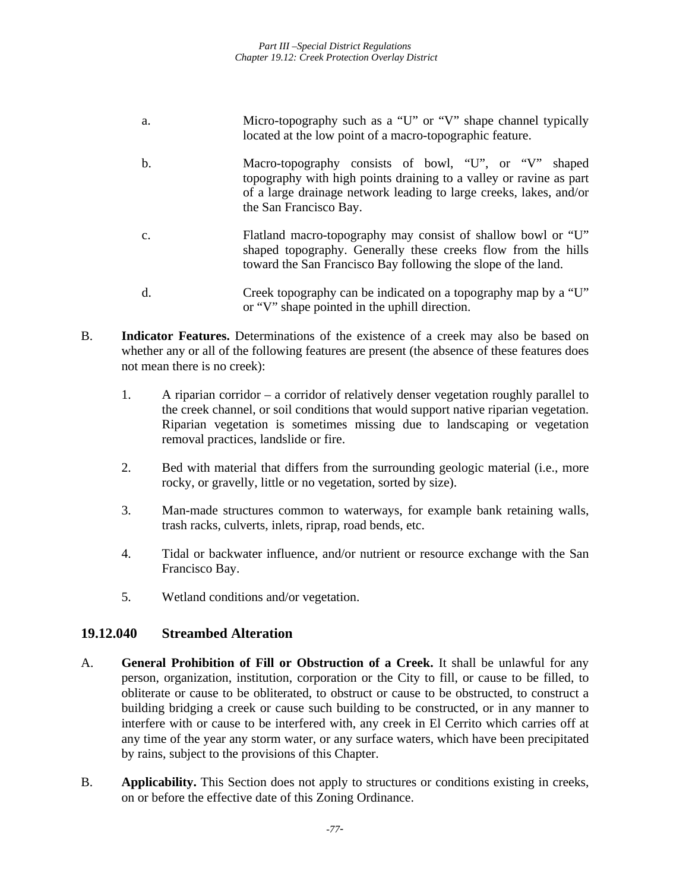- a. Micro-topography such as a "U" or "V" shape channel typically located at the low point of a macro-topographic feature.
- b. Macro-topography consists of bowl, "U", or "V" shaped topography with high points draining to a valley or ravine as part of a large drainage network leading to large creeks, lakes, and/or the San Francisco Bay.
- c. Flatland macro-topography may consist of shallow bowl or "U" shaped topography. Generally these creeks flow from the hills toward the San Francisco Bay following the slope of the land.
- d. Creek topography can be indicated on a topography map by a "U" or "V" shape pointed in the uphill direction.
- B. **Indicator Features.** Determinations of the existence of a creek may also be based on whether any or all of the following features are present (the absence of these features does not mean there is no creek):
	- 1. A riparian corridor a corridor of relatively denser vegetation roughly parallel to the creek channel, or soil conditions that would support native riparian vegetation. Riparian vegetation is sometimes missing due to landscaping or vegetation removal practices, landslide or fire.
	- 2. Bed with material that differs from the surrounding geologic material (i.e., more rocky, or gravelly, little or no vegetation, sorted by size).
	- 3. Man-made structures common to waterways, for example bank retaining walls, trash racks, culverts, inlets, riprap, road bends, etc.
	- 4. Tidal or backwater influence, and/or nutrient or resource exchange with the San Francisco Bay.
	- 5. Wetland conditions and/or vegetation.

### **19.12.040 Streambed Alteration**

- A. **General Prohibition of Fill or Obstruction of a Creek.** It shall be unlawful for any person, organization, institution, corporation or the City to fill, or cause to be filled, to obliterate or cause to be obliterated, to obstruct or cause to be obstructed, to construct a building bridging a creek or cause such building to be constructed, or in any manner to interfere with or cause to be interfered with, any creek in El Cerrito which carries off at any time of the year any storm water, or any surface waters, which have been precipitated by rains, subject to the provisions of this Chapter.
- B. **Applicability.** This Section does not apply to structures or conditions existing in creeks, on or before the effective date of this Zoning Ordinance.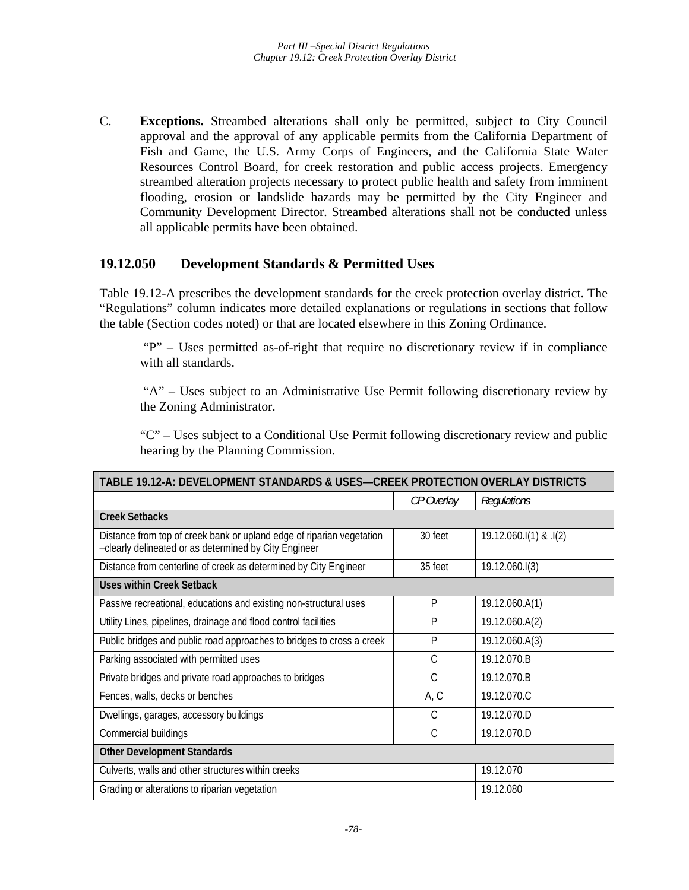C. **Exceptions.** Streambed alterations shall only be permitted, subject to City Council approval and the approval of any applicable permits from the California Department of Fish and Game, the U.S. Army Corps of Engineers, and the California State Water Resources Control Board, for creek restoration and public access projects. Emergency streambed alteration projects necessary to protect public health and safety from imminent flooding, erosion or landslide hazards may be permitted by the City Engineer and Community Development Director. Streambed alterations shall not be conducted unless all applicable permits have been obtained.

#### **19.12.050 Development Standards & Permitted Uses**

Table 19.12-A prescribes the development standards for the creek protection overlay district. The "Regulations" column indicates more detailed explanations or regulations in sections that follow the table (Section codes noted) or that are located elsewhere in this Zoning Ordinance.

 "P" – Uses permitted as-of-right that require no discretionary review if in compliance with all standards.

 "A" – Uses subject to an Administrative Use Permit following discretionary review by the Zoning Administrator.

"C" – Uses subject to a Conditional Use Permit following discretionary review and public hearing by the Planning Commission.

| TABLE 19.12-A: DEVELOPMENT STANDARDS & USES-CREEK PROTECTION OVERLAY DISTRICTS                                                 |               |                           |  |
|--------------------------------------------------------------------------------------------------------------------------------|---------------|---------------------------|--|
|                                                                                                                                | CP Overlay    | Regulations               |  |
| <b>Creek Setbacks</b>                                                                                                          |               |                           |  |
| Distance from top of creek bank or upland edge of riparian vegetation<br>-clearly delineated or as determined by City Engineer | 30 feet       | $19.12.060$ .I(1) & .I(2) |  |
| Distance from centerline of creek as determined by City Engineer                                                               | 35 feet       | 19.12.060.I(3)            |  |
| <b>Uses within Creek Setback</b>                                                                                               |               |                           |  |
| Passive recreational, educations and existing non-structural uses                                                              | P             | 19.12.060.A(1)            |  |
| Utility Lines, pipelines, drainage and flood control facilities                                                                | P             | 19.12.060.A(2)            |  |
| Public bridges and public road approaches to bridges to cross a creek                                                          | P             | 19.12.060.A(3)            |  |
| Parking associated with permitted uses                                                                                         | $\mathsf{C}$  | 19.12.070.B               |  |
| Private bridges and private road approaches to bridges                                                                         | $\mathcal{C}$ | 19.12.070.B               |  |
| Fences, walls, decks or benches                                                                                                | A, C          | 19.12.070.C               |  |
| Dwellings, garages, accessory buildings                                                                                        | $\mathcal{C}$ | 19.12.070.D               |  |
| Commercial buildings                                                                                                           | C             | 19.12.070.D               |  |
| <b>Other Development Standards</b>                                                                                             |               |                           |  |
| Culverts, walls and other structures within creeks                                                                             | 19.12.070     |                           |  |
| Grading or alterations to riparian vegetation                                                                                  | 19.12.080     |                           |  |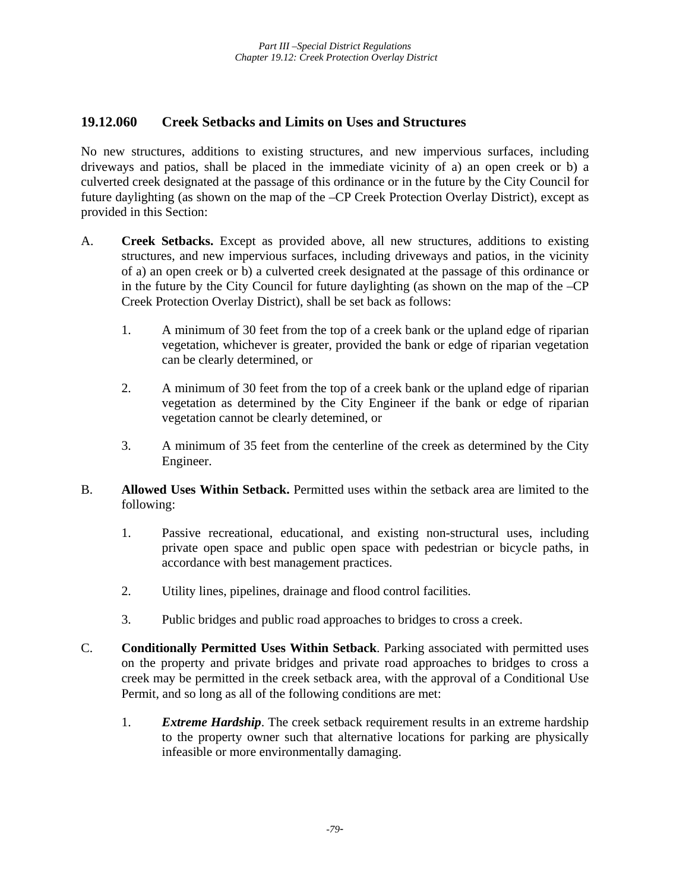### **19.12.060 Creek Setbacks and Limits on Uses and Structures**

No new structures, additions to existing structures, and new impervious surfaces, including driveways and patios, shall be placed in the immediate vicinity of a) an open creek or b) a culverted creek designated at the passage of this ordinance or in the future by the City Council for future daylighting (as shown on the map of the –CP Creek Protection Overlay District), except as provided in this Section:

- A. **Creek Setbacks.** Except as provided above, all new structures, additions to existing structures, and new impervious surfaces, including driveways and patios, in the vicinity of a) an open creek or b) a culverted creek designated at the passage of this ordinance or in the future by the City Council for future daylighting (as shown on the map of the –CP Creek Protection Overlay District), shall be set back as follows:
	- 1. A minimum of 30 feet from the top of a creek bank or the upland edge of riparian vegetation, whichever is greater, provided the bank or edge of riparian vegetation can be clearly determined, or
	- 2. A minimum of 30 feet from the top of a creek bank or the upland edge of riparian vegetation as determined by the City Engineer if the bank or edge of riparian vegetation cannot be clearly detemined, or
	- 3. A minimum of 35 feet from the centerline of the creek as determined by the City Engineer.
- B. **Allowed Uses Within Setback.** Permitted uses within the setback area are limited to the following:
	- 1. Passive recreational, educational, and existing non-structural uses, including private open space and public open space with pedestrian or bicycle paths, in accordance with best management practices.
	- 2. Utility lines, pipelines, drainage and flood control facilities.
	- 3. Public bridges and public road approaches to bridges to cross a creek.
- C. **Conditionally Permitted Uses Within Setback**. Parking associated with permitted uses on the property and private bridges and private road approaches to bridges to cross a creek may be permitted in the creek setback area, with the approval of a Conditional Use Permit, and so long as all of the following conditions are met:
	- 1. *Extreme Hardship*. The creek setback requirement results in an extreme hardship to the property owner such that alternative locations for parking are physically infeasible or more environmentally damaging.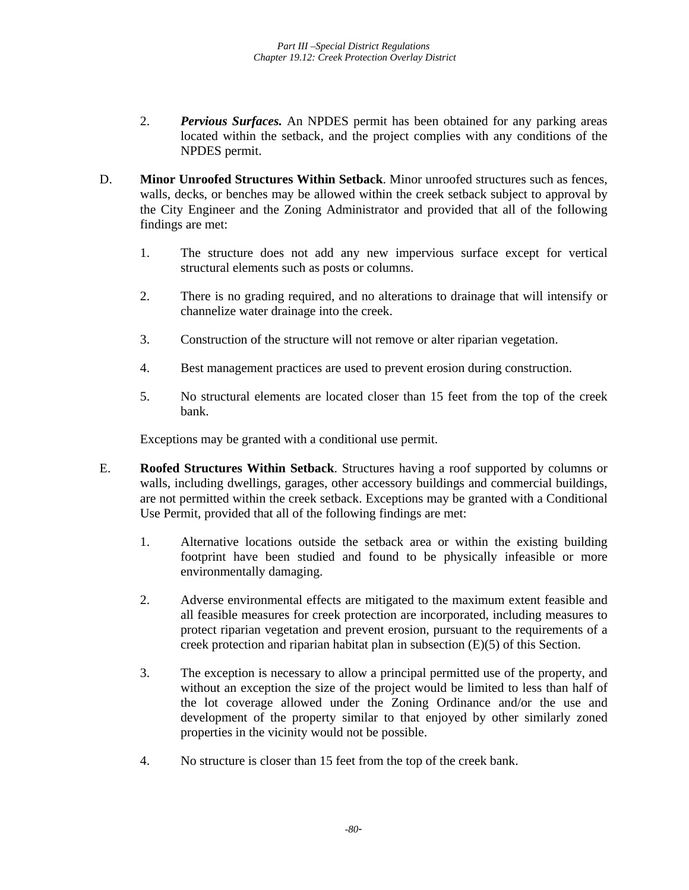- 2. *Pervious Surfaces.* An NPDES permit has been obtained for any parking areas located within the setback, and the project complies with any conditions of the NPDES permit.
- D. **Minor Unroofed Structures Within Setback**. Minor unroofed structures such as fences, walls, decks, or benches may be allowed within the creek setback subject to approval by the City Engineer and the Zoning Administrator and provided that all of the following findings are met:
	- 1. The structure does not add any new impervious surface except for vertical structural elements such as posts or columns.
	- 2. There is no grading required, and no alterations to drainage that will intensify or channelize water drainage into the creek.
	- 3. Construction of the structure will not remove or alter riparian vegetation.
	- 4. Best management practices are used to prevent erosion during construction.
	- 5. No structural elements are located closer than 15 feet from the top of the creek bank.

Exceptions may be granted with a conditional use permit.

- E. **Roofed Structures Within Setback**. Structures having a roof supported by columns or walls, including dwellings, garages, other accessory buildings and commercial buildings, are not permitted within the creek setback. Exceptions may be granted with a Conditional Use Permit, provided that all of the following findings are met:
	- 1. Alternative locations outside the setback area or within the existing building footprint have been studied and found to be physically infeasible or more environmentally damaging.
	- 2. Adverse environmental effects are mitigated to the maximum extent feasible and all feasible measures for creek protection are incorporated, including measures to protect riparian vegetation and prevent erosion, pursuant to the requirements of a creek protection and riparian habitat plan in subsection (E)(5) of this Section.
	- 3. The exception is necessary to allow a principal permitted use of the property, and without an exception the size of the project would be limited to less than half of the lot coverage allowed under the Zoning Ordinance and/or the use and development of the property similar to that enjoyed by other similarly zoned properties in the vicinity would not be possible.
	- 4. No structure is closer than 15 feet from the top of the creek bank.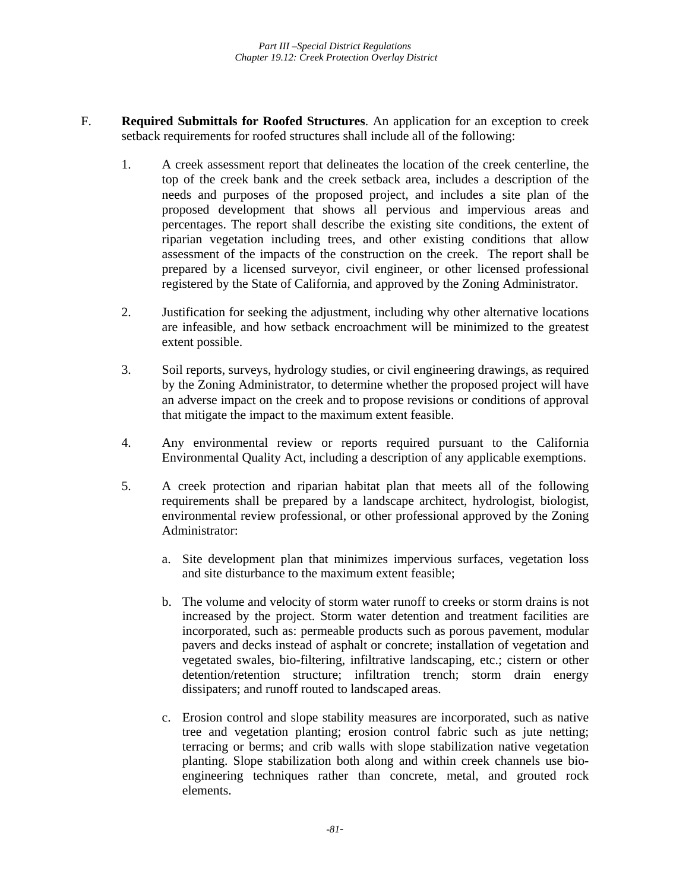- F. **Required Submittals for Roofed Structures**. An application for an exception to creek setback requirements for roofed structures shall include all of the following:
	- 1. A creek assessment report that delineates the location of the creek centerline, the top of the creek bank and the creek setback area, includes a description of the needs and purposes of the proposed project, and includes a site plan of the proposed development that shows all pervious and impervious areas and percentages. The report shall describe the existing site conditions, the extent of riparian vegetation including trees, and other existing conditions that allow assessment of the impacts of the construction on the creek. The report shall be prepared by a licensed surveyor, civil engineer, or other licensed professional registered by the State of California, and approved by the Zoning Administrator.
	- 2. Justification for seeking the adjustment, including why other alternative locations are infeasible, and how setback encroachment will be minimized to the greatest extent possible.
	- 3. Soil reports, surveys, hydrology studies, or civil engineering drawings, as required by the Zoning Administrator, to determine whether the proposed project will have an adverse impact on the creek and to propose revisions or conditions of approval that mitigate the impact to the maximum extent feasible.
	- 4. Any environmental review or reports required pursuant to the California Environmental Quality Act, including a description of any applicable exemptions.
	- 5. A creek protection and riparian habitat plan that meets all of the following requirements shall be prepared by a landscape architect, hydrologist, biologist, environmental review professional, or other professional approved by the Zoning Administrator:
		- a. Site development plan that minimizes impervious surfaces, vegetation loss and site disturbance to the maximum extent feasible;
		- b. The volume and velocity of storm water runoff to creeks or storm drains is not increased by the project. Storm water detention and treatment facilities are incorporated, such as: permeable products such as porous pavement, modular pavers and decks instead of asphalt or concrete; installation of vegetation and vegetated swales, bio-filtering, infiltrative landscaping, etc.; cistern or other detention/retention structure; infiltration trench; storm drain energy dissipaters; and runoff routed to landscaped areas.
		- c. Erosion control and slope stability measures are incorporated, such as native tree and vegetation planting; erosion control fabric such as jute netting; terracing or berms; and crib walls with slope stabilization native vegetation planting. Slope stabilization both along and within creek channels use bioengineering techniques rather than concrete, metal, and grouted rock elements.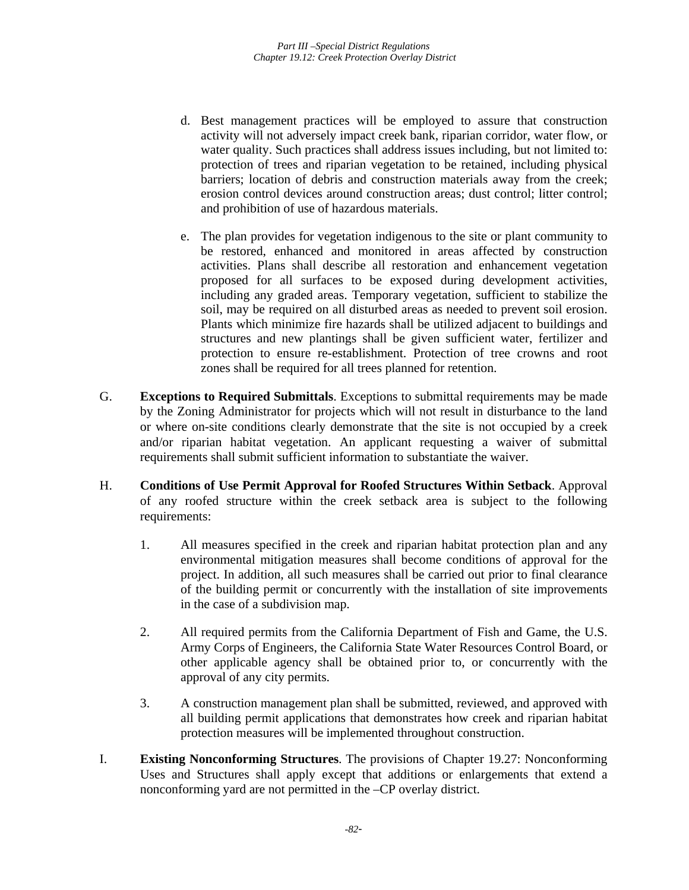- d. Best management practices will be employed to assure that construction activity will not adversely impact creek bank, riparian corridor, water flow, or water quality. Such practices shall address issues including, but not limited to: protection of trees and riparian vegetation to be retained, including physical barriers; location of debris and construction materials away from the creek; erosion control devices around construction areas; dust control; litter control; and prohibition of use of hazardous materials.
- e. The plan provides for vegetation indigenous to the site or plant community to be restored, enhanced and monitored in areas affected by construction activities. Plans shall describe all restoration and enhancement vegetation proposed for all surfaces to be exposed during development activities, including any graded areas. Temporary vegetation, sufficient to stabilize the soil, may be required on all disturbed areas as needed to prevent soil erosion. Plants which minimize fire hazards shall be utilized adjacent to buildings and structures and new plantings shall be given sufficient water, fertilizer and protection to ensure re-establishment. Protection of tree crowns and root zones shall be required for all trees planned for retention.
- G. **Exceptions to Required Submittals**. Exceptions to submittal requirements may be made by the Zoning Administrator for projects which will not result in disturbance to the land or where on-site conditions clearly demonstrate that the site is not occupied by a creek and/or riparian habitat vegetation. An applicant requesting a waiver of submittal requirements shall submit sufficient information to substantiate the waiver.
- H. **Conditions of Use Permit Approval for Roofed Structures Within Setback**. Approval of any roofed structure within the creek setback area is subject to the following requirements:
	- 1. All measures specified in the creek and riparian habitat protection plan and any environmental mitigation measures shall become conditions of approval for the project. In addition, all such measures shall be carried out prior to final clearance of the building permit or concurrently with the installation of site improvements in the case of a subdivision map.
	- 2. All required permits from the California Department of Fish and Game, the U.S. Army Corps of Engineers, the California State Water Resources Control Board, or other applicable agency shall be obtained prior to, or concurrently with the approval of any city permits.
	- 3. A construction management plan shall be submitted, reviewed, and approved with all building permit applications that demonstrates how creek and riparian habitat protection measures will be implemented throughout construction.
- I. **Existing Nonconforming Structures**. The provisions of Chapter 19.27: Nonconforming Uses and Structures shall apply except that additions or enlargements that extend a nonconforming yard are not permitted in the –CP overlay district.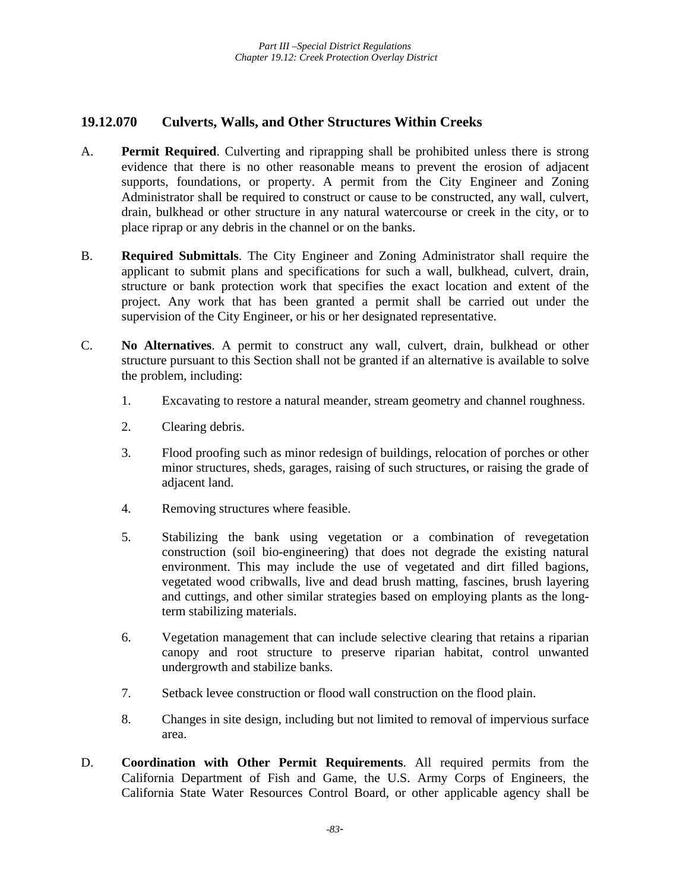## **19.12.070 Culverts, Walls, and Other Structures Within Creeks**

- A. **Permit Required**. Culverting and riprapping shall be prohibited unless there is strong evidence that there is no other reasonable means to prevent the erosion of adjacent supports, foundations, or property. A permit from the City Engineer and Zoning Administrator shall be required to construct or cause to be constructed, any wall, culvert, drain, bulkhead or other structure in any natural watercourse or creek in the city, or to place riprap or any debris in the channel or on the banks.
- B. **Required Submittals**. The City Engineer and Zoning Administrator shall require the applicant to submit plans and specifications for such a wall, bulkhead, culvert, drain, structure or bank protection work that specifies the exact location and extent of the project. Any work that has been granted a permit shall be carried out under the supervision of the City Engineer, or his or her designated representative.
- C. **No Alternatives**. A permit to construct any wall, culvert, drain, bulkhead or other structure pursuant to this Section shall not be granted if an alternative is available to solve the problem, including:
	- 1. Excavating to restore a natural meander, stream geometry and channel roughness.
	- 2. Clearing debris.
	- 3. Flood proofing such as minor redesign of buildings, relocation of porches or other minor structures, sheds, garages, raising of such structures, or raising the grade of adjacent land.
	- 4. Removing structures where feasible.
	- 5. Stabilizing the bank using vegetation or a combination of revegetation construction (soil bio-engineering) that does not degrade the existing natural environment. This may include the use of vegetated and dirt filled bagions, vegetated wood cribwalls, live and dead brush matting, fascines, brush layering and cuttings, and other similar strategies based on employing plants as the longterm stabilizing materials.
	- 6. Vegetation management that can include selective clearing that retains a riparian canopy and root structure to preserve riparian habitat, control unwanted undergrowth and stabilize banks.
	- 7. Setback levee construction or flood wall construction on the flood plain.
	- 8. Changes in site design, including but not limited to removal of impervious surface area.
- D. **Coordination with Other Permit Requirements**. All required permits from the California Department of Fish and Game, the U.S. Army Corps of Engineers, the California State Water Resources Control Board, or other applicable agency shall be